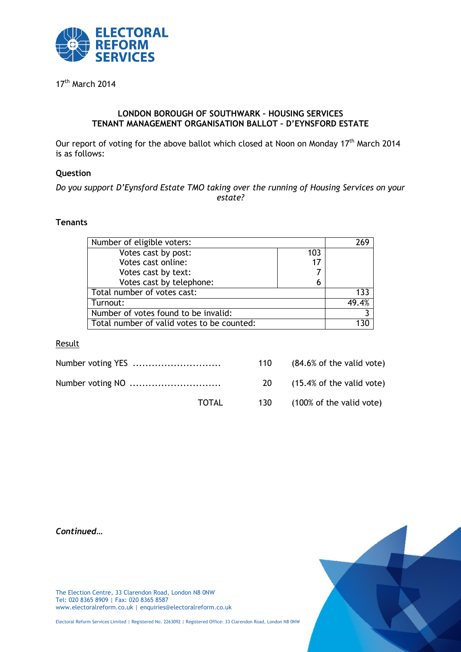

17<sup>th</sup> March 2014

### **LONDON BOROUGH OF SOUTHWARK – HOUSING SERVICES TENANT MANAGEMENT ORGANISATION BALLOT – D'EYNSFORD ESTATE**

Our report of voting for the above ballot which closed at Noon on Monday 17<sup>th</sup> March 2014 is as follows:

### **Question**

# *Do you support D'Eynsford Estate TMO taking over the running of Housing Services on your estate?*

### **Tenants**

| Number of eligible voters:                 |     |       |
|--------------------------------------------|-----|-------|
| Votes cast by post:                        | 103 |       |
| Votes cast online:                         | 17  |       |
| Votes cast by text:                        |     |       |
| Votes cast by telephone:                   | 6   |       |
| Total number of votes cast:                |     | 133   |
| Turnout:                                   |     | 49 4% |
| Number of votes found to be invalid:       |     |       |
| Total number of valid votes to be counted: |     |       |

### Result

|       | 110       | $(84.6\% \text{ of the valid vote})$ |
|-------|-----------|--------------------------------------|
|       | <b>20</b> | $(15.4\% \text{ of the valid vote})$ |
| TOTAL | 130       | (100% of the valid vote)             |

*Continued…*



The Election Centre, 33 Clarendon Road, London N8 0NW Tel: 020 8365 8909 | Fax: 020 8365 8587 www.electoralreform.co.uk | enquiries@electoralreform.co.uk

Electoral Reform Services Limited | Registered No. 2263092 | Registered Office: 33 Clarendon Road, London N8 0NW